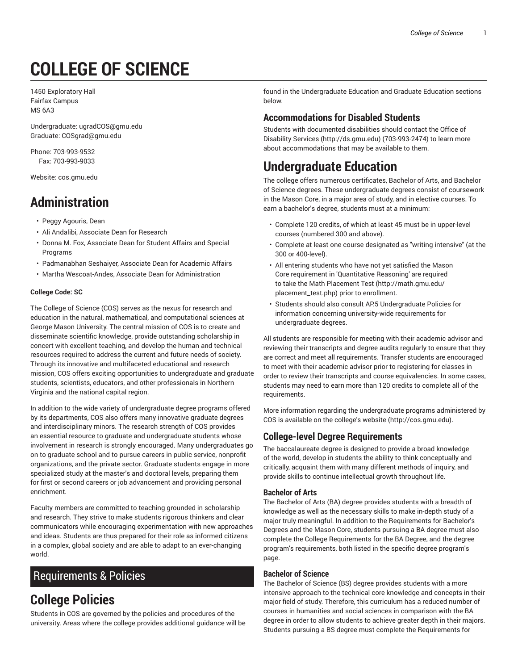# **COLLEGE OF SCIENCE**

1450 Exploratory Hall Fairfax Campus MS 6A3

Undergraduate: ugradCOS@gmu.edu Graduate: COSgrad@gmu.edu

Phone: 703-993-9532 Fax: 703-993-9033

Website: cos.gmu.edu

# **Administration**

- Peggy Agouris, Dean
- Ali Andalibi, Associate Dean for Research
- Donna M. Fox, Associate Dean for Student Affairs and Special Programs
- Padmanabhan Seshaiyer, Associate Dean for Academic Affairs
- Martha Wescoat-Andes, Associate Dean for Administration

#### **College Code: SC**

The College of Science (COS) serves as the nexus for research and education in the natural, mathematical, and computational sciences at George Mason University. The central mission of COS is to create and disseminate scientific knowledge, provide outstanding scholarship in concert with excellent teaching, and develop the human and technical resources required to address the current and future needs of society. Through its innovative and multifaceted educational and research mission, COS offers exciting opportunities to undergraduate and graduate students, scientists, educators, and other professionals in Northern Virginia and the national capital region.

In addition to the wide variety of undergraduate degree programs offered by its departments, COS also offers many innovative graduate degrees and interdisciplinary minors. The research strength of COS provides an essential resource to graduate and undergraduate students whose involvement in research is strongly encouraged. Many undergraduates go on to graduate school and to pursue careers in public service, nonprofit organizations, and the private sector. Graduate students engage in more specialized study at the master's and doctoral levels, preparing them for first or second careers or job advancement and providing personal enrichment.

Faculty members are committed to teaching grounded in scholarship and research. They strive to make students rigorous thinkers and clear communicators while encouraging experimentation with new approaches and ideas. Students are thus prepared for their role as informed citizens in a complex, global society and are able to adapt to an ever-changing world.

## Requirements & Policies

# **College Policies**

Students in COS are governed by the policies and procedures of the university. Areas where the college provides additional guidance will be

found in the Undergraduate Education and Graduate Education sections below.

### **Accommodations for Disabled Students**

Students with documented disabilities should contact the Office of Disability Services (http://ds.gmu.edu) (703-993-2474) to learn more about accommodations that may be available to them.

# **Undergraduate Education**

The college offers numerous certificates, Bachelor of Arts, and Bachelor of Science degrees. These undergraduate degrees consist of coursework in the Mason Core, in a major area of study, and in elective courses. To earn a bachelor's degree, students must at a minimum:

- Complete 120 credits, of which at least 45 must be in upper-level courses (numbered 300 and above).
- Complete at least one course designated as "writing intensive" (at the 300 or 400-level).
- All entering students who have not yet satisfied the Mason Core requirement in 'Quantitative Reasoning' are required to take the Math Placement Test (http://math.gmu.edu/ placement\_test.php) prior to enrollment.
- Students should also consult AP.5 Undergraduate Policies for information concerning university-wide requirements for undergraduate degrees.

All students are responsible for meeting with their academic advisor and reviewing their transcripts and degree audits regularly to ensure that they are correct and meet all requirements. Transfer students are encouraged to meet with their academic advisor prior to registering for classes in order to review their transcripts and course equivalencies. In some cases, students may need to earn more than 120 credits to complete all of the requirements.

More information regarding the undergraduate programs administered by COS is available on the college's website (http://cos.gmu.edu).

#### **College-level Degree Requirements**

The baccalaureate degree is designed to provide a broad knowledge of the world, develop in students the ability to think conceptually and critically, acquaint them with many different methods of inquiry, and provide skills to continue intellectual growth throughout life.

#### **Bachelor of Arts**

The Bachelor of Arts (BA) degree provides students with a breadth of knowledge as well as the necessary skills to make in-depth study of a major truly meaningful. In addition to the Requirements for Bachelor's Degrees and the Mason Core, students pursuing a BA degree must also complete the College Requirements for the BA Degree, and the degree program's requirements, both listed in the specific degree program's page.

#### **Bachelor of Science**

The Bachelor of Science (BS) degree provides students with a more intensive approach to the technical core knowledge and concepts in their major field of study. Therefore, this curriculum has a reduced number of courses in humanities and social sciences in comparison with the BA degree in order to allow students to achieve greater depth in their majors. Students pursuing a BS degree must complete the Requirements for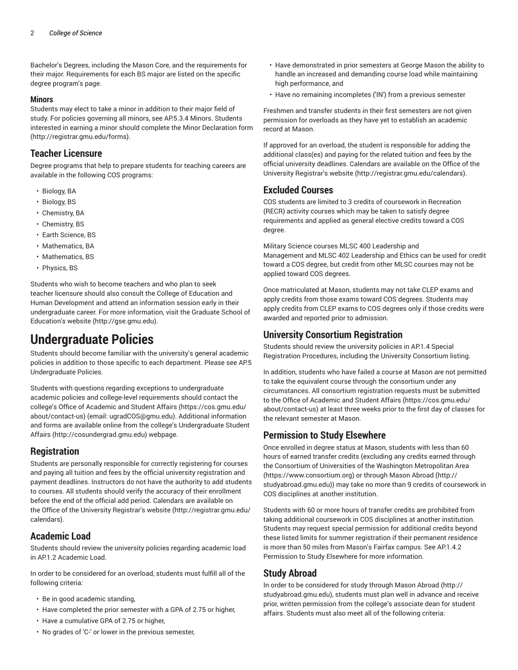Bachelor's Degrees, including the Mason Core, and the requirements for their major. Requirements for each BS major are listed on the specific degree program's page.

#### **Minors**

Students may elect to take a minor in addition to their major field of study. For policies governing all minors, see AP.5.3.4 Minors. Students interested in earning a minor should complete the Minor Declaration form (http://registrar.gmu.edu/forms).

#### **Teacher Licensure**

Degree programs that help to prepare students for teaching careers are available in the following COS programs:

- Biology, BA
- Biology, BS
- Chemistry, BA
- Chemistry, BS
- Earth Science, BS
- Mathematics, BA
- Mathematics, BS
- Physics, BS

Students who wish to become teachers and who plan to seek teacher licensure should also consult the College of Education and Human Development and attend an information session early in their undergraduate career. For more information, visit the Graduate School of Education's website (http://gse.gmu.edu).

# **Undergraduate Policies**

Students should become familiar with the university's general academic policies in addition to those specific to each department. Please see AP.5 Undergraduate Policies.

Students with questions regarding exceptions to undergraduate academic policies and college-level requirements should contact the college's Office of Academic and Student Affairs (https://cos.gmu.edu/ about/contact-us) (email: ugradCOS@gmu.edu). Additional information and forms are available online from the college's Undergraduate Student Affairs (http://cosundergrad.gmu.edu) webpage.

#### **Registration**

Students are personally responsible for correctly registering for courses and paying all tuition and fees by the official university registration and payment deadlines. Instructors do not have the authority to add students to courses. All students should verify the accuracy of their enrollment before the end of the official add period. Calendars are available on the Office of the University Registrar's website (http://registrar.gmu.edu/ calendars).

#### **Academic Load**

Students should review the university policies regarding academic load in AP.1.2 Academic Load.

In order to be considered for an overload, students must fulfill all of the following criteria:

- Be in good academic standing,
- Have completed the prior semester with a GPA of 2.75 or higher,
- Have a cumulative GPA of 2.75 or higher,
- No grades of 'C-' or lower in the previous semester,
- Have demonstrated in prior semesters at George Mason the ability to handle an increased and demanding course load while maintaining high performance, and
- Have no remaining incompletes ('IN') from a previous semester

Freshmen and transfer students in their first semesters are not given permission for overloads as they have yet to establish an academic record at Mason.

If approved for an overload, the student is responsible for adding the additional class(es) and paying for the related tuition and fees by the official university deadlines. Calendars are available on the Office of the University Registrar's website (http://registrar.gmu.edu/calendars).

#### **Excluded Courses**

COS students are limited to 3 credits of coursework in Recreation (RECR) activity courses which may be taken to satisfy degree requirements and applied as general elective credits toward a COS degree.

Military Science courses MLSC 400 Leadership and Management and MLSC 402 Leadership and Ethics can be used for credit toward a COS degree, but credit from other MLSC courses may not be applied toward COS degrees.

Once matriculated at Mason, students may not take CLEP exams and apply credits from those exams toward COS degrees. Students may apply credits from CLEP exams to COS degrees only if those credits were awarded and reported prior to admission.

#### **University Consortium Registration**

Students should review the university policies in AP.1.4 Special Registration Procedures, including the University Consortium listing.

In addition, students who have failed a course at Mason are not permitted to take the equivalent course through the consortium under any circumstances. All consortium registration requests must be submitted to the Office of Academic and Student Affairs (https://cos.gmu.edu/ about/contact-us) at least three weeks prior to the first day of classes for the relevant semester at Mason.

#### **Permission to Study Elsewhere**

Once enrolled in degree status at Mason, students with less than 60 hours of earned transfer credits (excluding any credits earned through the Consortium of Universities of the Washington Metropolitan Area (https://www.consortium.org) or through Mason Abroad (http:// studyabroad.gmu.edu)) may take no more than 9 credits of coursework in COS disciplines at another institution.

Students with 60 or more hours of transfer credits are prohibited from taking additional coursework in COS disciplines at another institution. Students may request special permission for additional credits beyond these listed limits for summer registration if their permanent residence is more than 50 miles from Mason's Fairfax campus. See AP.1.4.2 Permission to Study Elsewhere for more information.

#### **Study Abroad**

In order to be considered for study through Mason Abroad (http:// studyabroad.gmu.edu), students must plan well in advance and receive prior, written permission from the college's associate dean for student affairs. Students must also meet all of the following criteria: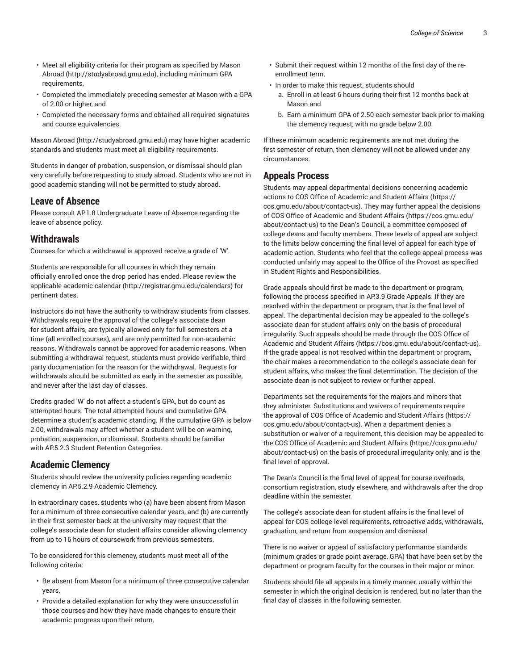- Meet all eligibility criteria for their program as specified by Mason Abroad (http://studyabroad.gmu.edu), including minimum GPA requirements,
- Completed the immediately preceding semester at Mason with a GPA of 2.00 or higher, and
- Completed the necessary forms and obtained all required signatures and course equivalencies.

Mason Abroad (http://studyabroad.gmu.edu) may have higher academic standards and students must meet all eligibility requirements.

Students in danger of probation, suspension, or dismissal should plan very carefully before requesting to study abroad. Students who are not in good academic standing will not be permitted to study abroad.

#### **Leave of Absence**

Please consult AP.1.8 Undergraduate Leave of Absence regarding the leave of absence policy.

#### **Withdrawals**

Courses for which a withdrawal is approved receive a grade of 'W'.

Students are responsible for all courses in which they remain officially enrolled once the drop period has ended. Please review the applicable academic calendar (http://registrar.gmu.edu/calendars) for pertinent dates.

Instructors do not have the authority to withdraw students from classes. Withdrawals require the approval of the college's associate dean for student affairs, are typically allowed only for full semesters at a time (all enrolled courses), and are only permitted for non-academic reasons. Withdrawals cannot be approved for academic reasons. When submitting a withdrawal request, students must provide verifiable, thirdparty documentation for the reason for the withdrawal. Requests for withdrawals should be submitted as early in the semester as possible, and never after the last day of classes.

Credits graded 'W' do not affect a student's GPA, but do count as attempted hours. The total attempted hours and cumulative GPA determine a student's academic standing. If the cumulative GPA is below 2.00, withdrawals may affect whether a student will be on warning, probation, suspension, or dismissal. Students should be familiar with AP.5.2.3 Student Retention Categories.

#### **Academic Clemency**

Students should review the university policies regarding academic clemency in AP.5.2.9 Academic Clemency.

In extraordinary cases, students who (a) have been absent from Mason for a minimum of three consecutive calendar years, and (b) are currently in their first semester back at the university may request that the college's associate dean for student affairs consider allowing clemency from up to 16 hours of coursework from previous semesters.

To be considered for this clemency, students must meet all of the following criteria:

- Be absent from Mason for a minimum of three consecutive calendar years,
- Provide a detailed explanation for why they were unsuccessful in those courses and how they have made changes to ensure their academic progress upon their return,
- Submit their request within 12 months of the first day of the reenrollment term,
- In order to make this request, students should
	- a. Enroll in at least 6 hours during their first 12 months back at Mason and
	- b. Earn a minimum GPA of 2.50 each semester back prior to making the clemency request, with no grade below 2.00.

If these minimum academic requirements are not met during the first semester of return, then clemency will not be allowed under any circumstances.

#### **Appeals Process**

Students may appeal departmental decisions concerning academic actions to COS Office of Academic and Student Affairs (https:// cos.gmu.edu/about/contact-us). They may further appeal the decisions of COS Office of Academic and Student Affairs (https://cos.gmu.edu/ about/contact-us) to the Dean's Council, a committee composed of college deans and faculty members. These levels of appeal are subject to the limits below concerning the final level of appeal for each type of academic action. Students who feel that the college appeal process was conducted unfairly may appeal to the Office of the Provost as specified in Student Rights and Responsibilities.

Grade appeals should first be made to the department or program, following the process specified in AP.3.9 Grade Appeals. If they are resolved within the department or program, that is the final level of appeal. The departmental decision may be appealed to the college's associate dean for student affairs only on the basis of procedural irregularity. Such appeals should be made through the COS Office of Academic and Student Affairs (https://cos.gmu.edu/about/contact-us). If the grade appeal is not resolved within the department or program, the chair makes a recommendation to the college's associate dean for student affairs, who makes the final determination. The decision of the associate dean is not subject to review or further appeal.

Departments set the requirements for the majors and minors that they administer. Substitutions and waivers of requirements require the approval of COS Office of Academic and Student Affairs (https:// cos.gmu.edu/about/contact-us). When a department denies a substitution or waiver of a requirement, this decision may be appealed to the COS Office of Academic and Student Affairs (https://cos.gmu.edu/ about/contact-us) on the basis of procedural irregularity only, and is the final level of approval.

The Dean's Council is the final level of appeal for course overloads, consortium registration, study elsewhere, and withdrawals after the drop deadline within the semester.

The college's associate dean for student affairs is the final level of appeal for COS college-level requirements, retroactive adds, withdrawals, graduation, and return from suspension and dismissal.

There is no waiver or appeal of satisfactory performance standards (minimum grades or grade point average, GPA) that have been set by the department or program faculty for the courses in their major or minor.

Students should file all appeals in a timely manner, usually within the semester in which the original decision is rendered, but no later than the final day of classes in the following semester.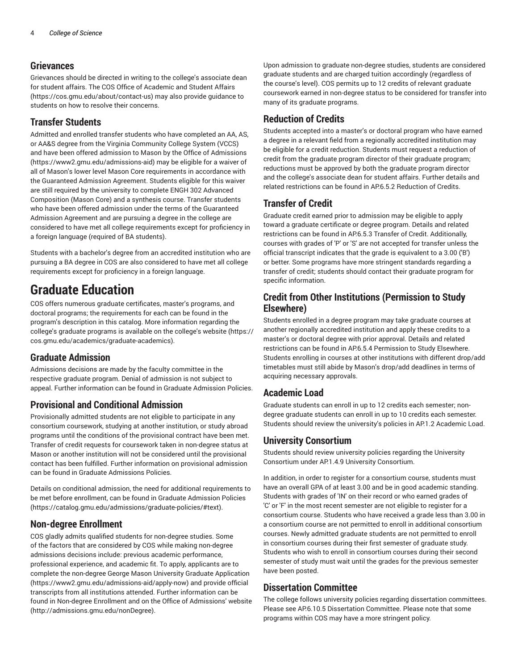#### **Grievances**

Grievances should be directed in writing to the college's associate dean for student affairs. The COS Office of Academic and Student Affairs (https://cos.gmu.edu/about/contact-us) may also provide guidance to students on how to resolve their concerns.

#### **Transfer Students**

Admitted and enrolled transfer students who have completed an AA, AS, or AA&S degree from the Virginia Community College System (VCCS) and have been offered admission to Mason by the Office of Admissions (https://www2.gmu.edu/admissions-aid) may be eligible for a waiver of all of Mason's lower level Mason Core requirements in accordance with the Guaranteed Admission Agreement. Students eligible for this waiver are still required by the university to complete ENGH 302 Advanced Composition (Mason Core) and a synthesis course. Transfer students who have been offered admission under the terms of the Guaranteed Admission Agreement and are pursuing a degree in the college are considered to have met all college requirements except for proficiency in a foreign language (required of BA students).

Students with a bachelor's degree from an accredited institution who are pursuing a BA degree in COS are also considered to have met all college requirements except for proficiency in a foreign language.

### **Graduate Education**

COS offers numerous graduate certificates, master's programs, and doctoral programs; the requirements for each can be found in the program's description in this catalog. More information regarding the college's graduate programs is available on the college's website (https:// cos.gmu.edu/academics/graduate-academics).

#### **Graduate Admission**

Admissions decisions are made by the faculty committee in the respective graduate program. Denial of admission is not subject to appeal. Further information can be found in Graduate Admission Policies.

#### **Provisional and Conditional Admission**

Provisionally admitted students are not eligible to participate in any consortium coursework, studying at another institution, or study abroad programs until the conditions of the provisional contract have been met. Transfer of credit requests for coursework taken in non-degree status at Mason or another institution will not be considered until the provisional contact has been fulfilled. Further information on provisional admission can be found in Graduate Admissions Policies.

Details on conditional admission, the need for additional requirements to be met before enrollment, can be found in Graduate Admission Policies (https://catalog.gmu.edu/admissions/graduate-policies/#text).

#### **Non-degree Enrollment**

COS gladly admits qualified students for non-degree studies. Some of the factors that are considered by COS while making non-degree admissions decisions include: previous academic performance, professional experience, and academic fit. To apply, applicants are to complete the non-degree George Mason University Graduate Application (https://www2.gmu.edu/admissions-aid/apply-now) and provide official transcripts from all institutions attended. Further information can be found in Non-degree Enrollment and on the Office of Admissions' website (http://admissions.gmu.edu/nonDegree).

Upon admission to graduate non-degree studies, students are considered graduate students and are charged tuition accordingly (regardless of the course's level). COS permits up to 12 credits of relevant graduate coursework earned in non-degree status to be considered for transfer into many of its graduate programs.

#### **Reduction of Credits**

Students accepted into a master's or doctoral program who have earned a degree in a relevant field from a regionally accredited institution may be eligible for a credit reduction. Students must request a reduction of credit from the graduate program director of their graduate program; reductions must be approved by both the graduate program director and the college's associate dean for student affairs. Further details and related restrictions can be found in AP.6.5.2 Reduction of Credits.

#### **Transfer of Credit**

Graduate credit earned prior to admission may be eligible to apply toward a graduate certificate or degree program. Details and related restrictions can be found in AP.6.5.3 Transfer of Credit. Additionally, courses with grades of 'P' or 'S' are not accepted for transfer unless the official transcript indicates that the grade is equivalent to a 3.00 ('B') or better. Some programs have more stringent standards regarding a transfer of credit; students should contact their graduate program for specific information.

#### **Credit from Other Institutions (Permission to Study Elsewhere)**

Students enrolled in a degree program may take graduate courses at another regionally accredited institution and apply these credits to a master's or doctoral degree with prior approval. Details and related restrictions can be found in AP.6.5.4 Permission to Study Elsewhere. Students enrolling in courses at other institutions with different drop/add timetables must still abide by Mason's drop/add deadlines in terms of acquiring necessary approvals.

#### **Academic Load**

Graduate students can enroll in up to 12 credits each semester; nondegree graduate students can enroll in up to 10 credits each semester. Students should review the university's policies in AP.1.2 Academic Load.

#### **University Consortium**

Students should review university policies regarding the University Consortium under AP.1.4.9 University Consortium.

In addition, in order to register for a consortium course, students must have an overall GPA of at least 3.00 and be in good academic standing. Students with grades of 'IN' on their record or who earned grades of 'C' or 'F' in the most recent semester are not eligible to register for a consortium course. Students who have received a grade less than 3.00 in a consortium course are not permitted to enroll in additional consortium courses. Newly admitted graduate students are not permitted to enroll in consortium courses during their first semester of graduate study. Students who wish to enroll in consortium courses during their second semester of study must wait until the grades for the previous semester have been posted.

#### **Dissertation Committee**

The college follows university policies regarding dissertation committees. Please see AP.6.10.5 Dissertation Committee. Please note that some programs within COS may have a more stringent policy.